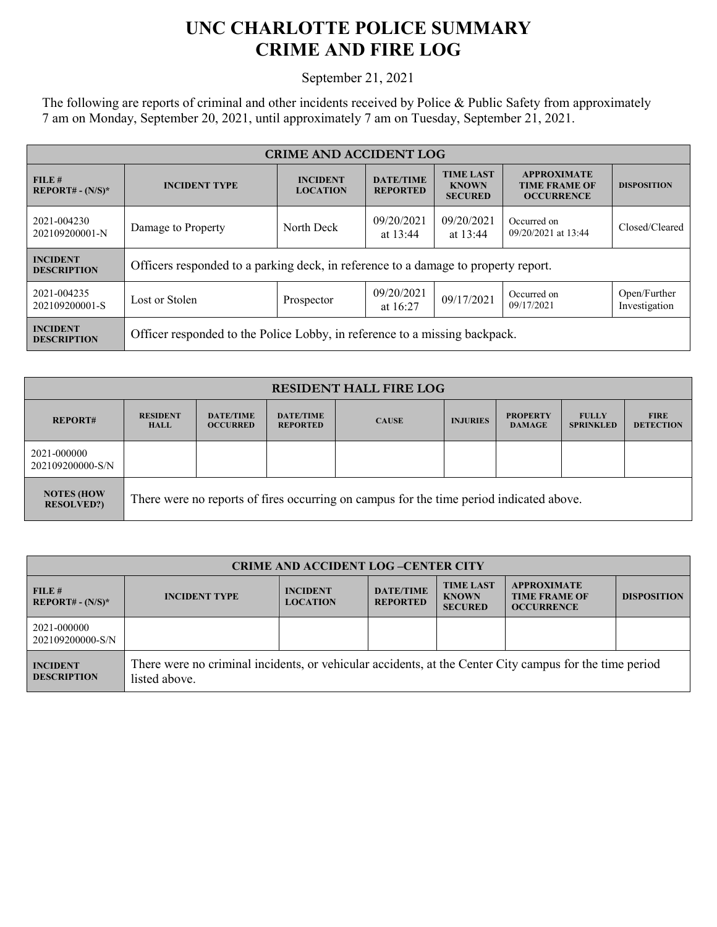## **UNC CHARLOTTE POLICE SUMMARY CRIME AND FIRE LOG**

September 21, 2021

The following are reports of criminal and other incidents received by Police & Public Safety from approximately 7 am on Monday, September 20, 2021, until approximately 7 am on Tuesday, September 21, 2021.

| <b>CRIME AND ACCIDENT LOG</b>         |                                                                                    |                                    |                                     |                                                    |                                                                 |                               |  |
|---------------------------------------|------------------------------------------------------------------------------------|------------------------------------|-------------------------------------|----------------------------------------------------|-----------------------------------------------------------------|-------------------------------|--|
| FILE#<br>$REPORT# - (N/S)*$           | <b>INCIDENT TYPE</b>                                                               | <b>INCIDENT</b><br><b>LOCATION</b> | <b>DATE/TIME</b><br><b>REPORTED</b> | <b>TIME LAST</b><br><b>KNOWN</b><br><b>SECURED</b> | <b>APPROXIMATE</b><br><b>TIME FRAME OF</b><br><b>OCCURRENCE</b> | <b>DISPOSITION</b>            |  |
| 2021-004230<br>202109200001-N         | Damage to Property                                                                 | North Deck                         | 09/20/2021<br>at 13:44              | 09/20/2021<br>at 13:44                             | Occurred on<br>09/20/2021 at 13:44                              | Closed/Cleared                |  |
| <b>INCIDENT</b><br><b>DESCRIPTION</b> | Officers responded to a parking deck, in reference to a damage to property report. |                                    |                                     |                                                    |                                                                 |                               |  |
| 2021-004235<br>202109200001-S         | Lost or Stolen                                                                     | Prospector                         | 09/20/2021<br>at $16:27$            | 09/17/2021                                         | Occurred on<br>09/17/2021                                       | Open/Further<br>Investigation |  |
| <b>INCIDENT</b><br><b>DESCRIPTION</b> | Officer responded to the Police Lobby, in reference to a missing backpack.         |                                    |                                     |                                                    |                                                                 |                               |  |

| <b>RESIDENT HALL FIRE LOG</b>           |                                                                                         |                                     |                                     |              |                 |                                  |                                  |                                 |
|-----------------------------------------|-----------------------------------------------------------------------------------------|-------------------------------------|-------------------------------------|--------------|-----------------|----------------------------------|----------------------------------|---------------------------------|
| <b>REPORT#</b>                          | <b>RESIDENT</b><br><b>HALL</b>                                                          | <b>DATE/TIME</b><br><b>OCCURRED</b> | <b>DATE/TIME</b><br><b>REPORTED</b> | <b>CAUSE</b> | <b>INJURIES</b> | <b>PROPERTY</b><br><b>DAMAGE</b> | <b>FULLY</b><br><b>SPRINKLED</b> | <b>FIRE</b><br><b>DETECTION</b> |
| 2021-000000<br>202109200000-S/N         |                                                                                         |                                     |                                     |              |                 |                                  |                                  |                                 |
| <b>NOTES (HOW)</b><br><b>RESOLVED?)</b> | There were no reports of fires occurring on campus for the time period indicated above. |                                     |                                     |              |                 |                                  |                                  |                                 |

| <b>CRIME AND ACCIDENT LOG-CENTER CITY</b> |                                                                                                                          |                                    |                                     |                                                    |                                                                 |                    |  |
|-------------------------------------------|--------------------------------------------------------------------------------------------------------------------------|------------------------------------|-------------------------------------|----------------------------------------------------|-----------------------------------------------------------------|--------------------|--|
| FILE#<br>$REPORT# - (N/S)*$               | <b>INCIDENT TYPE</b>                                                                                                     | <b>INCIDENT</b><br><b>LOCATION</b> | <b>DATE/TIME</b><br><b>REPORTED</b> | <b>TIME LAST</b><br><b>KNOWN</b><br><b>SECURED</b> | <b>APPROXIMATE</b><br><b>TIME FRAME OF</b><br><b>OCCURRENCE</b> | <b>DISPOSITION</b> |  |
| 2021-000000<br>202109200000-S/N           |                                                                                                                          |                                    |                                     |                                                    |                                                                 |                    |  |
| <b>INCIDENT</b><br><b>DESCRIPTION</b>     | There were no criminal incidents, or vehicular accidents, at the Center City campus for the time period<br>listed above. |                                    |                                     |                                                    |                                                                 |                    |  |